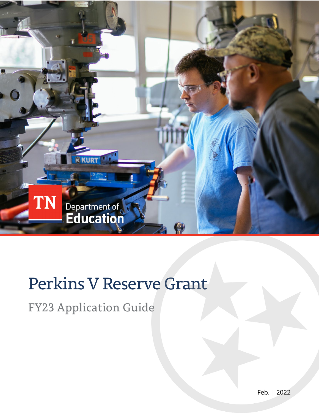

# Perkins V Reserve Grant

FY23 Application Guide

Feb. | 2022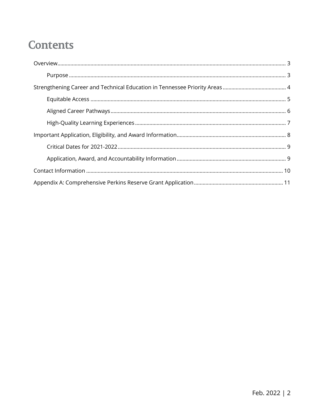## **Contents**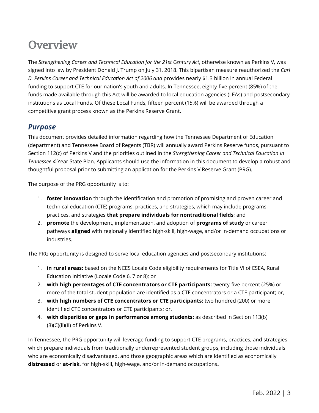## <span id="page-2-0"></span>**Overview**

The *Strengthening Career and Technical Education for the 21st Century Act*, otherwise known as Perkins V, was signed into law by President Donald J. Trump on July 31, 2018. This bipartisan measure reauthorized the *Carl D. Perkins Career and Technical Education Act of 2006 and* provides nearly \$1.3 billion in annual Federal funding to support CTE for our nation's youth and adults. In Tennessee, eighty-five percent (85%) of the funds made available through this Act will be awarded to local education agencies (LEAs) and postsecondary institutions as Local Funds. Of these Local Funds, fifteen percent (15%) will be awarded through a competitive grant process known as the Perkins Reserve Grant.

### <span id="page-2-1"></span>*Purpose*

This document provides detailed information regarding how the Tennessee Department of Education (department) and Tennessee Board of Regents (TBR) will annually award Perkins Reserve funds, pursuant to Section 112(c) of Perkins V and the priorities outlined in the *Strengthening Career and Technical Education in Tennessee 4*-Year State Plan. Applicants should use the information in this document to develop a robust and thoughtful proposal prior to submitting an application for the Perkins V Reserve Grant (PRG).

The purpose of the PRG opportunity is to:

- 1. **foster innovation** through the identification and promotion of promising and proven career and technical education (CTE) programs, practices, and strategies, which may include programs, practices, and strategies **that prepare individuals for nontraditional fields**; and
- 2. **promote** the development, implementation, and adoption of **programs of study** or career pathways **aligned** with regionally identified high-skill, high-wage, and/or in-demand occupations or industries.

The PRG opportunity is designed to serve local education agencies and postsecondary institutions:

- 1. **in rural areas:** based on the NCES Locale Code eligibility requirements for Title VI of ESEA, Rural Education Initiative (Locale Code 6, 7 or 8); or
- 2. **with high percentages of CTE concentrators or CTE participants:** twenty-five percent (25%) or more of the total student population are identified as a CTE concentrators or a CTE participant; or,
- 3. **with high numbers of CTE concentrators or CTE participants:** two hundred (200) or more identified CTE concentrators or CTE participants; or,
- 4. **with disparities or gaps in performance among students:** as described in Section 113(b) (3)(C)(ii)(II) of Perkins V.

In Tennessee, the PRG opportunity will leverage funding to support CTE programs, practices, and strategies which prepare individuals from traditionally underrepresented student groups, including those individuals who are economically disadvantaged, and those geographic areas which are identified as economically **distressed** or **at-risk**, for high-skill, high-wage, and/or in-demand occupations**.**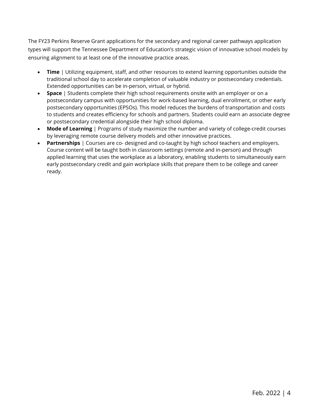The FY23 Perkins Reserve Grant applications for the secondary and regional career pathways application types will support the Tennessee Department of Education's strategic vision of innovative school models by ensuring alignment to at least one of the innovative practice areas.

- **Time** | Utilizing equipment, staff, and other resources to extend learning opportunities outside the traditional school day to accelerate completion of valuable industry or postsecondary credentials. Extended opportunities can be in-person, virtual, or hybrid.
- **Space** | Students complete their high school requirements onsite with an employer or on a postsecondary campus with opportunities for work-based learning, dual enrollment, or other early postsecondary opportunities (EPSOs). This model reduces the burdens of transportation and costs to students and creates efficiency for schools and partners. Students could earn an associate degree or postsecondary credential alongside their high school diploma.
- **Mode of Learning** | Programs of study maximize the number and variety of college-credit courses by leveraging remote course delivery models and other innovative practices.
- <span id="page-3-0"></span>• **Partnerships** | Courses are co- designed and co-taught by high school teachers and employers. Course content will be taught both in classroom settings (remote and in-person) and through applied learning that uses the workplace as a laboratory, enabling students to simultaneously earn early postsecondary credit and gain workplace skills that prepare them to be college and career ready.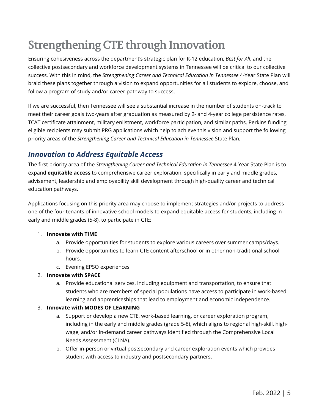## **Strengthening CTE through Innovation**

Ensuring cohesiveness across the department's strategic plan for K-12 education, *Best for All*, and the collective postsecondary and workforce development systems in Tennessee will be critical to our collective success. With this in mind, the *Strengthening Career and Technical Education in Tennessee* 4-Year State Plan will braid these plans together through a vision to expand opportunities for all students to explore, choose, and follow a program of study and/or career pathway to success.

If we are successful, then Tennessee will see a substantial increase in the number of students on-track to meet their career goals two-years after graduation as measured by 2- and 4-year college persistence rates, TCAT certificate attainment, military enlistment, workforce participation, and similar paths. Perkins funding eligible recipients may submit PRG applications which help to achieve this vision and support the following priority areas of the *Strengthening Career and Technical Education in Tennessee* State Plan*.*

## <span id="page-4-0"></span>*Innovation to Address Equitable Access*

The first priority area of the *Strengthening Career and Technical Education in Tennessee* 4-Year State Plan is to expand **equitable access** to comprehensive career exploration, specifically in early and middle grades, advisement, leadership and employability skill development through high-quality career and technical education pathways.

Applications focusing on this priority area may choose to implement strategies and/or projects to address one of the four tenants of innovative school models to expand equitable access for students, including in early and middle grades (5-8), to participate in CTE:

#### 1. **Innovate with TIME**

- a. Provide opportunities for students to explore various careers over summer camps/days.
- b. Provide opportunities to learn CTE content afterschool or in other non-traditional school hours.
- c. Evening EPSO experiences

#### 2. **Innovate with SPACE**

a. Provide educational services, including equipment and transportation, to ensure that students who are members of special populations have access to participate in work-based learning and apprenticeships that lead to employment and economic independence.

#### 3. **Innovate with MODES OF LEARNING**

- a. Support or develop a new CTE, work-based learning, or career exploration program, including in the early and middle grades (grade 5-8), which aligns to regional high-skill, highwage, and/or in-demand career pathways identified through the Comprehensive Local Needs Assessment (CLNA).
- b. Offer in-person or virtual postsecondary and career exploration events which provides student with access to industry and postsecondary partners.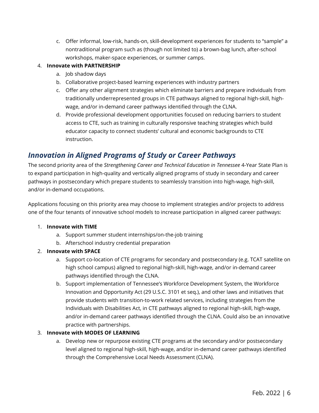c. Offer informal, low-risk, hands-on, skill-development experiences for students to "sample" a nontraditional program such as (though not limited to) a brown-bag lunch, after-school workshops, maker-space experiences, or summer camps.

#### 4. **Innovate with PARTNERSHIP**

- a. Job shadow days
- b. Collaborative project-based learning experiences with industry partners
- c. Offer any other alignment strategies which eliminate barriers and prepare individuals from traditionally underrepresented groups in CTE pathways aligned to regional high-skill, highwage, and/or in-demand career pathways identified through the CLNA.
- d. Provide professional development opportunities focused on reducing barriers to student access to CTE, such as training in culturally responsive teaching strategies which build educator capacity to connect students' cultural and economic backgrounds to CTE instruction.

### <span id="page-5-0"></span>*Innovation in Aligned Programs of Study or Career Pathways*

The second priority area of the *Strengthening Career and Technical Education in Tennessee* 4-Year State Plan is to expand participation in high-quality and vertically aligned programs of study in secondary and career pathways in postsecondary which prepare students to seamlessly transition into high-wage, high-skill, and/or in-demand occupations.

Applications focusing on this priority area may choose to implement strategies and/or projects to address one of the four tenants of innovative school models to increase participation in aligned career pathways:

#### 1. **Innovate with TIME**

- a. Support summer student internships/on-the-job training
- b. Afterschool industry credential preparation
- 2. **Innovate with SPACE**
	- a. Support co-location of CTE programs for secondary and postsecondary (e.g. TCAT satellite on high school campus) aligned to regional high-skill, high-wage, and/or in-demand career pathways identified through the CLNA.
	- b. Support implementation of Tennessee's Workforce Development System, the Workforce Innovation and Opportunity Act (29 U.S.C. 3101 et seq.), and other laws and initiatives that provide students with transition-to-work related services, including strategies from the Individuals with Disabilities Act, in CTE pathways aligned to regional high-skill, high-wage, and/or in-demand career pathways identified through the CLNA. Could also be an innovative practice with partnerships.

#### 3. **Innovate with MODES OF LEARNING**

a. Develop new or repurpose existing CTE programs at the secondary and/or postsecondary level aligned to regional high-skill, high-wage, and/or in-demand career pathways identified through the Comprehensive Local Needs Assessment (CLNA).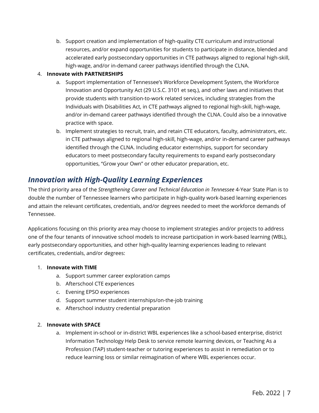b. Support creation and implementation of high-quality CTE curriculum and instructional resources, and/or expand opportunities for students to participate in distance, blended and accelerated early postsecondary opportunities in CTE pathways aligned to regional high-skill, high-wage, and/or in-demand career pathways identified through the CLNA.

#### 4. **Innovate with PARTNERSHIPS**

- a. Support implementation of Tennessee's Workforce Development System, the Workforce Innovation and Opportunity Act (29 U.S.C. 3101 et seq.), and other laws and initiatives that provide students with transition-to-work related services, including strategies from the Individuals with Disabilities Act, in CTE pathways aligned to regional high-skill, high-wage, and/or in-demand career pathways identified through the CLNA. Could also be a innovative practice with space.
- b. Implement strategies to recruit, train, and retain CTE educators, faculty, administrators, etc. in CTE pathways aligned to regional high-skill, high-wage, and/or in-demand career pathways identified through the CLNA. Including educator externships, support for secondary educators to meet postsecondary faculty requirements to expand early postsecondary opportunities, "Grow your Own" or other educator preparation, etc.

### <span id="page-6-0"></span>*Innovation with High-Quality Learning Experiences*

The third priority area of the *Strengthening Career and Technical Education in Tennessee* 4-Year State Plan is to double the number of Tennessee learners who participate in high-quality work-based learning experiences and attain the relevant certificates, credentials, and/or degrees needed to meet the workforce demands of Tennessee.

Applications focusing on this priority area may choose to implement strategies and/or projects to address one of the four tenants of innovative school models to increase participation in work-based learning (WBL), early postsecondary opportunities, and other high-quality learning experiences leading to relevant certificates, credentials, and/or degrees:

#### 1. **Innovate with TIME**

- a. Support summer career exploration camps
- b. Afterschool CTE experiences
- c. Evening EPSO experiences
- d. Support summer student internships/on-the-job training
- e. Afterschool industry credential preparation

#### 2. **Innovate with SPACE**

a. Implement in-school or in-district WBL experiences like a school-based enterprise, district Information Technology Help Desk to service remote learning devices, or Teaching As a Profession (TAP) student-teacher or tutoring experiences to assist in remediation or to reduce learning loss or similar reimagination of where WBL experiences occur.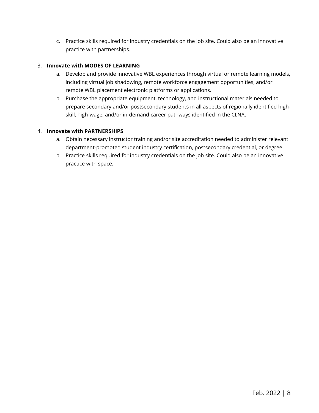c. Practice skills required for industry credentials on the job site. Could also be an innovative practice with partnerships.

#### 3. **Innovate with MODES OF LEARNING**

- a. Develop and provide innovative WBL experiences through virtual or remote learning models, including virtual job shadowing, remote workforce engagement opportunities, and/or remote WBL placement electronic platforms or applications.
- b. Purchase the appropriate equipment, technology, and instructional materials needed to prepare secondary and/or postsecondary students in all aspects of regionally identified highskill, high-wage, and/or in-demand career pathways identified in the CLNA.

#### 4. **Innovate with PARTNERSHIPS**

- a. Obtain necessary instructor training and/or site accreditation needed to administer relevant department-promoted student industry certification, postsecondary credential, or degree.
- <span id="page-7-0"></span>b. Practice skills required for industry credentials on the job site. Could also be an innovative practice with space.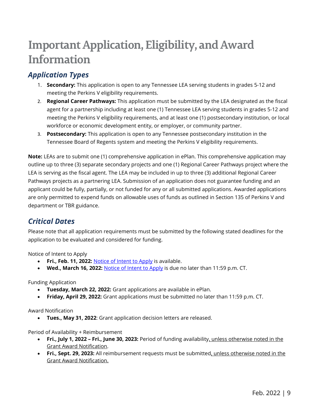## **Important Application,Eligibility, and Award Information**

## *Application Types*

- 1. **Secondary:** This application is open to any Tennessee LEA serving students in grades 5-12 and meeting the Perkins V eligibility requirements.
- 2. **Regional Career Pathways:** This application must be submitted by the LEA designated as the fiscal agent for a partnership including at least one (1) Tennessee LEA serving students in grades 5-12 and meeting the Perkins V eligibility requirements, and at least one (1) postsecondary institution, or local workforce or economic development entity, or employer, or community partner.
- 3. **Postsecondary:** This application is open to any Tennessee postsecondary institution in the Tennessee Board of Regents system and meeting the Perkins V eligibility requirements.

**Note:** LEAs are to submit one (1) comprehensive application in ePlan. This comprehensive application may outline up to three (3) separate secondary projects and one (1) Regional Career Pathways project where the LEA is serving as the fiscal agent. The LEA may be included in up to three (3) additional Regional Career Pathways projects as a partnering LEA. Submission of an application does not guarantee funding and an applicant could be fully, partially, or not funded for any or all submitted applications. Awarded applications are only permitted to expend funds on allowable uses of funds as outlined in Section 135 of Perkins V and department or TBR guidance.

## <span id="page-8-0"></span>*Critical Dates*

Please note that all application requirements must be submitted by the following stated deadlines for the application to be evaluated and considered for funding.

<span id="page-8-1"></span>Notice of Intent to Apply

- **Fri., Feb. 11, 2022:** [Notice of Intent to Apply](https://stateoftennessee.formstack.com/forms/prg_intent_to_apply) is available.
- **Wed., March 16, 2022:** [Notice of Intent to Apply](https://stateoftennessee.formstack.com/forms/prg_intent_to_apply) is due no later than 11:59 p.m. CT.

Funding Application

- **Tuesday, March 22, 2022:** Grant applications are available in ePlan.
- **Friday, April 29, 2022:** Grant applications must be submitted no later than 11:59 p.m. CT.

Award Notification

• **Tues., May 31, 2022**: Grant application decision letters are released.

Period of Availability + Reimbursement

- **Fri., July 1, 2022 – Fri., June 30, 2023:** Period of funding availability, unless otherwise noted in the Grant Award Notification.
- **Fri., Sept. 29, 2023:** All reimbursement requests must be submitted, unless otherwise noted in the Grant Award Notification.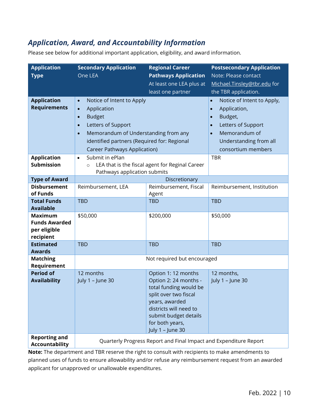## *Application, Award, and Accountability Information*

Please see below for additional important application, eligibility, and award information.

| <b>Application</b>                                                  | <b>Secondary Application</b>                                                                                                                                                                                                                                            | <b>Regional Career</b>                                                                                                                                                               | <b>Postsecondary Application</b>                                                                                                                                                                              |  |
|---------------------------------------------------------------------|-------------------------------------------------------------------------------------------------------------------------------------------------------------------------------------------------------------------------------------------------------------------------|--------------------------------------------------------------------------------------------------------------------------------------------------------------------------------------|---------------------------------------------------------------------------------------------------------------------------------------------------------------------------------------------------------------|--|
| <b>Type</b>                                                         | One LEA                                                                                                                                                                                                                                                                 | <b>Pathways Application</b>                                                                                                                                                          | Note: Please contact                                                                                                                                                                                          |  |
|                                                                     |                                                                                                                                                                                                                                                                         | At least one LEA plus at                                                                                                                                                             | Michael.Tinsley@tbr.edu for                                                                                                                                                                                   |  |
|                                                                     |                                                                                                                                                                                                                                                                         | least one partner                                                                                                                                                                    | the TBR application.                                                                                                                                                                                          |  |
| <b>Application</b><br><b>Requirements</b>                           | Notice of Intent to Apply<br>$\bullet$<br>Application<br>$\bullet$<br><b>Budget</b><br>$\bullet$<br>Letters of Support<br>$\bullet$<br>Memorandum of Understanding from any<br>$\bullet$<br>identified partners (Required for: Regional<br>Career Pathways Application) |                                                                                                                                                                                      | Notice of Intent to Apply,<br>$\bullet$<br>Application,<br>$\bullet$<br>Budget,<br>$\bullet$<br>Letters of Support<br>$\bullet$<br>Memorandum of<br>$\bullet$<br>Understanding from all<br>consortium members |  |
| <b>Application</b>                                                  | Submit in ePlan<br>$\bullet$                                                                                                                                                                                                                                            |                                                                                                                                                                                      | <b>TBR</b>                                                                                                                                                                                                    |  |
| <b>Submission</b>                                                   | LEA that is the fiscal agent for Reginal Career<br>$\circ$<br>Pathways application submits                                                                                                                                                                              |                                                                                                                                                                                      |                                                                                                                                                                                                               |  |
| <b>Type of Award</b>                                                | Discretionary                                                                                                                                                                                                                                                           |                                                                                                                                                                                      |                                                                                                                                                                                                               |  |
| <b>Disbursement</b>                                                 | Reimbursement, LEA                                                                                                                                                                                                                                                      | Reimbursement, Fiscal                                                                                                                                                                | Reimbursement, Institution                                                                                                                                                                                    |  |
| of Funds                                                            |                                                                                                                                                                                                                                                                         | Agent                                                                                                                                                                                |                                                                                                                                                                                                               |  |
| <b>Total Funds</b><br><b>Available</b>                              | <b>TBD</b>                                                                                                                                                                                                                                                              | <b>TBD</b>                                                                                                                                                                           | <b>TBD</b>                                                                                                                                                                                                    |  |
| <b>Maximum</b><br><b>Funds Awarded</b><br>per eligible<br>recipient | \$50,000                                                                                                                                                                                                                                                                | \$200,000                                                                                                                                                                            | \$50,000                                                                                                                                                                                                      |  |
| <b>Estimated</b><br><b>Awards</b>                                   | <b>TBD</b>                                                                                                                                                                                                                                                              | <b>TBD</b>                                                                                                                                                                           | <b>TBD</b>                                                                                                                                                                                                    |  |
| <b>Matching</b><br>Requirement                                      | Not required but encouraged                                                                                                                                                                                                                                             |                                                                                                                                                                                      |                                                                                                                                                                                                               |  |
| <b>Period of</b>                                                    | 12 months                                                                                                                                                                                                                                                               | Option 1: 12 months                                                                                                                                                                  | 12 months,                                                                                                                                                                                                    |  |
| <b>Availability</b>                                                 | July 1 - June 30                                                                                                                                                                                                                                                        | Option 2: 24 months -<br>total funding would be<br>split over two fiscal<br>years, awarded<br>districts will need to<br>submit budget details<br>for both years,<br>July 1 - June 30 | July 1 - June 30                                                                                                                                                                                              |  |
| <b>Reporting and</b><br>Accountability                              | Quarterly Progress Report and Final Impact and Expenditure Report<br>Note: The department and TPP recepse the right to concult with recipients to make amendments to                                                                                                    |                                                                                                                                                                                      |                                                                                                                                                                                                               |  |

<span id="page-9-0"></span>**Note:** The department and TBR reserve the right to consult with recipients to make amendments to planned uses of funds to ensure allowability and/or refuse any reimbursement request from an awarded applicant for unapproved or unallowable expenditures.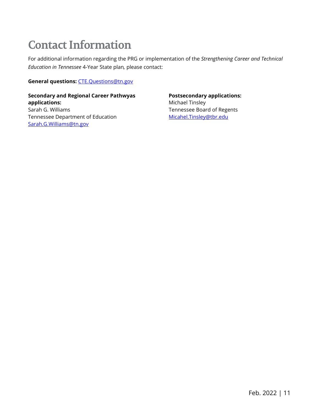## **Contact Information**

For additional information regarding the PRG or implementation of the *Strengthening Career and Technical Education in Tennessee* 4-Year State plan*,* please contact:

**General questions:** [CTE.Questions@tn.gov](mailto:CTE.Questions@tn.gov)

<span id="page-10-0"></span>**Secondary and Regional Career Pathwyas applications:** Sarah G. Williams Tennessee Department of Education [Sarah.G.Williams@tn.gov](mailto:Sarah.G.Williams@tn.gov)

**Postsecondary applications:** Michael Tinsley Tennessee Board of Regents [Micahel.Tinsley@tbr.edu](mailto:Micahel.Tinsley@tbr.edu)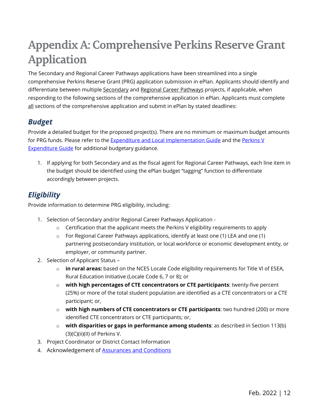## **Appendix A: Comprehensive Perkins Reserve Grant Application**

The Secondary and Regional Career Pathways applications have been streamlined into a single comprehensive Perkins Reserve Grant (PRG) application submission in ePlan. Applicants should identify and differentiate between multiple Secondary and Regional Career Pathways projects, if applicable, when responding to the following sections of the comprehensive application in ePlan. Applicants must complete  $all$  sections of the comprehensive application and submit in ePlan by stated deadlines:

## *Budget*

Provide a detailed budget for the proposed project(s). There are no minimum or maximum budget amounts for PRG funds. Please refer to the [Expenditure and Local Implementation Guide](https://www.tn.gov/content/dam/tn/education/ccte/cte/ExpenditureandLocalImplementationGuide.pdf) and the Perkins V [Expenditure Guide](https://www.tn.gov/education/career-and-technical-education/cte-accountability-and-data-reporting.html) for additional budgetary guidance.

1. If applying for both Secondary and as the fiscal agent for Regional Career Pathways, each line item in the budget should be identified using the ePlan budget "tagging" function to differentiate accordingly between projects.

## *Eligibility*

Provide information to determine PRG eligibility, including:

- 1. Selection of Secondary and/or Regional Career Pathways Application
	- $\circ$  Certification that the applicant meets the Perkins V eligibility requirements to apply
	- o For Regional Career Pathways applications, identify at least one (1) LEA and one (1) partnering postsecondary institution, or local workforce or economic development entity, or employer, or community partner.
- 2. Selection of Applicant Status
	- o **in rural areas:** based on the NCES Locale Code eligibility requirements for Title VI of ESEA, Rural Education Initiative (Locale Code 6, 7 or 8); or
	- o **with high percentages of CTE concentrators or CTE participants**: twenty-five percent (25%) or more of the total student population are identified as a CTE concentrators or a CTE participant; or,
	- o **with high numbers of CTE concentrators or CTE participants**: two hundred (200) or more identified CTE concentrators or CTE participants; or,
	- o **with disparities or gaps in performance among students**: as described in Section 113(b) (3)(C)(ii)(II) of Perkins V.
- 3. Project Coordinator or District Contact Information
- 4. Acknowledgement of [Assurances and Conditions](https://eplan.tn.gov/DocumentLibrary/ViewDocument.aspx?DocumentKey=1689838&inline=true)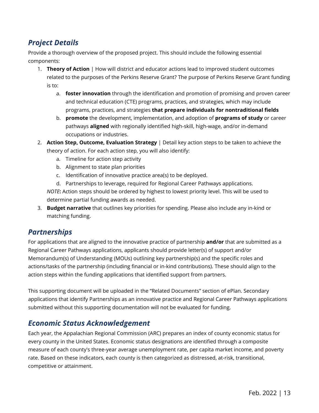## *Project Details*

Provide a thorough overview of the proposed project. This should include the following essential components:

- 1. **Theory of Action** | How will district and educator actions lead to improved student outcomes related to the purposes of the Perkins Reserve Grant? The purpose of Perkins Reserve Grant funding is to:
	- a. **foster innovation** through the identification and promotion of promising and proven career and technical education (CTE) programs, practices, and strategies, which may include programs, practices, and strategies **that prepare individuals for nontraditional fields**
	- b. **promote** the development, implementation, and adoption of **programs of study** or career pathways **aligned** with regionally identified high-skill, high-wage, and/or in-demand occupations or industries.
- 2. **Action Step, Outcome, Evaluation Strategy** | Detail key action steps to be taken to achieve the theory of action. For each action step, you will also identify:
	- a. Timeline for action step activity
	- b. Alignment to state plan priorities
	- c. Identification of innovative practice area(s) to be deployed.
	- d. Partnerships to leverage, required for Regional Career Pathways applications.

*NOTE***:** Action steps should be ordered by highest to lowest priority level. This will be used to determine partial funding awards as needed.

3. **Budget narrative** that outlines key priorities for spending. Please also include any in-kind or matching funding.

### *Partnerships*

For applications that are aligned to the innovative practice of partnership **and/or** that are submitted as a Regional Career Pathways applications, applicants should provide letter(s) of support and/or Memorandum(s) of Understanding (MOUs) outlining key partnership(s) and the specific roles and actions/tasks of the partnership (including financial or in-kind contributions). These should align to the action steps within the funding applications that identified support from partners.

This supporting document will be uploaded in the "Related Documents" section of ePlan. Secondary applications that identify Partnerships as an innovative practice and Regional Career Pathways applications submitted without this supporting documentation will not be evaluated for funding.

### *Economic Status Acknowledgement*

Each year, the Appalachian Regional Commission (ARC) prepares an index of county economic status for every county in the United States. Economic status designations are identified through a composite measure of each county's three-year average unemployment rate, per capita market income, and poverty rate. Based on these indicators, each county is then categorized as distressed, at-risk, transitional, competitive or attainment.